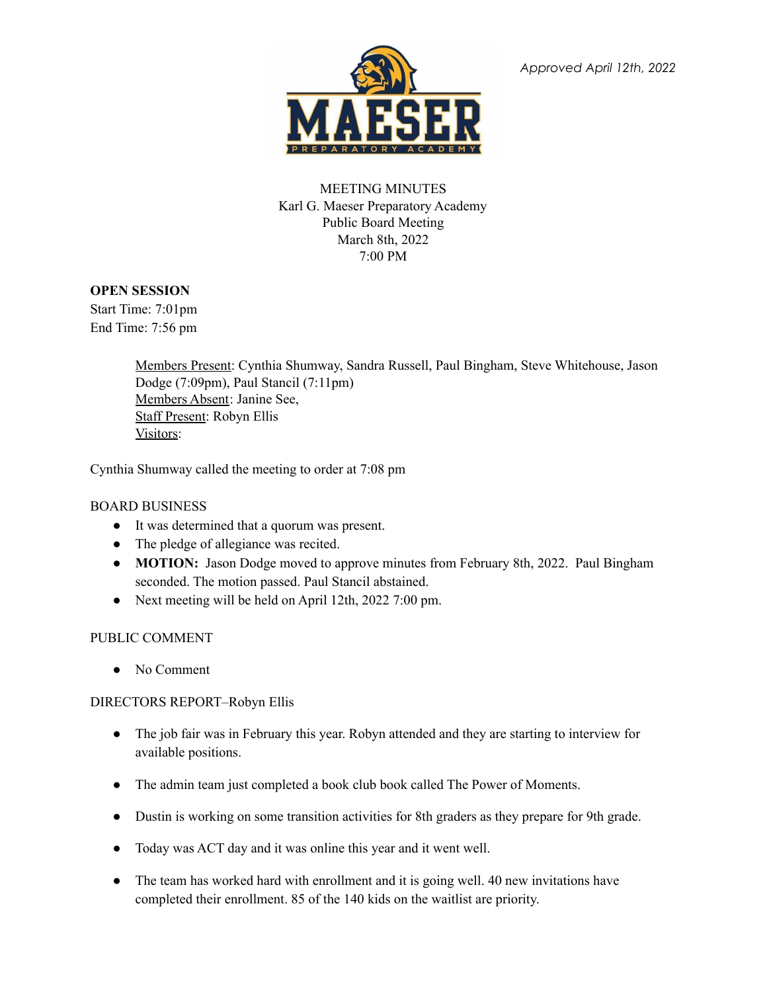

*Approved April 12th, 2022*

# MEETING MINUTES Karl G. Maeser Preparatory Academy Public Board Meeting March 8th, 2022 7:00 PM

## **OPEN SESSION**

Start Time: 7:01pm End Time: 7:56 pm

> Members Present: Cynthia Shumway, Sandra Russell, Paul Bingham, Steve Whitehouse, Jason Dodge (7:09pm), Paul Stancil (7:11pm) Members Absent: Janine See, Staff Present: Robyn Ellis Visitors:

Cynthia Shumway called the meeting to order at 7:08 pm

## BOARD BUSINESS

- It was determined that a quorum was present.
- The pledge of allegiance was recited.
- **MOTION:** Jason Dodge moved to approve minutes from February 8th, 2022. Paul Bingham seconded. The motion passed. Paul Stancil abstained.
- Next meeting will be held on April 12th, 2022 7:00 pm.

## PUBLIC COMMENT

• No Comment

## DIRECTORS REPORT–Robyn Ellis

- The job fair was in February this year. Robyn attended and they are starting to interview for available positions.
- The admin team just completed a book club book called The Power of Moments.
- Dustin is working on some transition activities for 8th graders as they prepare for 9th grade.
- Today was ACT day and it was online this year and it went well.
- The team has worked hard with enrollment and it is going well. 40 new invitations have completed their enrollment. 85 of the 140 kids on the waitlist are priority.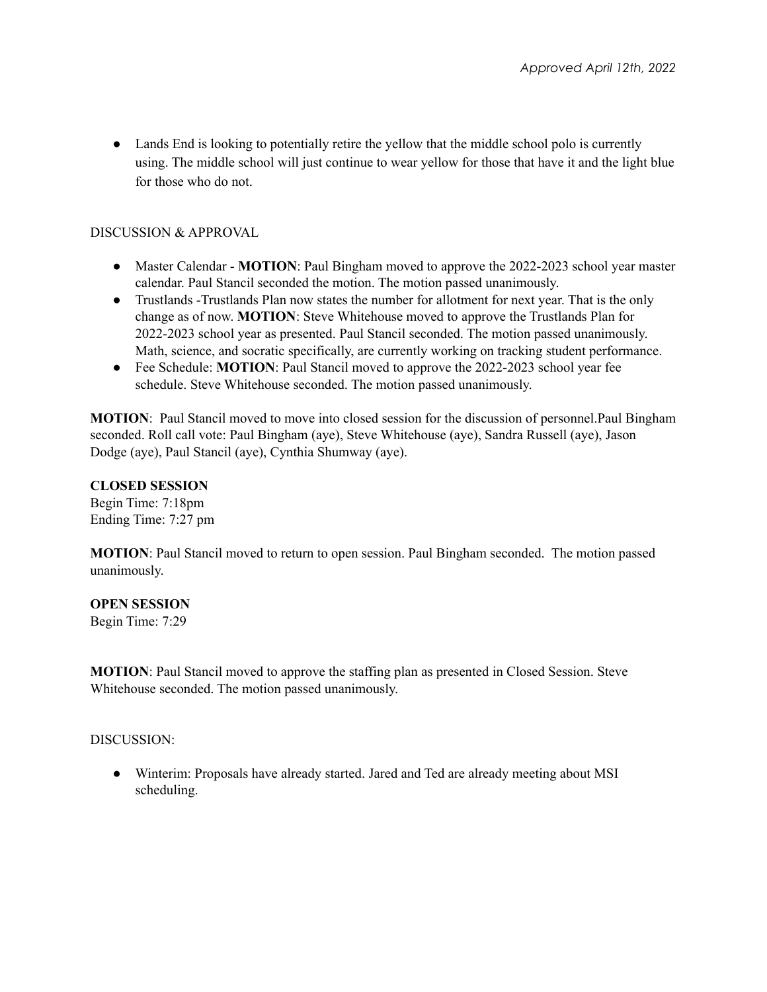• Lands End is looking to potentially retire the yellow that the middle school polo is currently using. The middle school will just continue to wear yellow for those that have it and the light blue for those who do not.

#### DISCUSSION & APPROVAL

- Master Calendar **MOTION**: Paul Bingham moved to approve the 2022-2023 school year master calendar. Paul Stancil seconded the motion. The motion passed unanimously.
- Trustlands -Trustlands Plan now states the number for allotment for next year. That is the only change as of now. **MOTION**: Steve Whitehouse moved to approve the Trustlands Plan for 2022-2023 school year as presented. Paul Stancil seconded. The motion passed unanimously. Math, science, and socratic specifically, are currently working on tracking student performance.
- Fee Schedule: **MOTION**: Paul Stancil moved to approve the 2022-2023 school year fee schedule. Steve Whitehouse seconded. The motion passed unanimously.

**MOTION**: Paul Stancil moved to move into closed session for the discussion of personnel.Paul Bingham seconded. Roll call vote: Paul Bingham (aye), Steve Whitehouse (aye), Sandra Russell (aye), Jason Dodge (aye), Paul Stancil (aye), Cynthia Shumway (aye).

#### **CLOSED SESSION**

Begin Time: 7:18pm Ending Time: 7:27 pm

**MOTION**: Paul Stancil moved to return to open session. Paul Bingham seconded. The motion passed unanimously.

#### **OPEN SESSION**

Begin Time: 7:29

**MOTION**: Paul Stancil moved to approve the staffing plan as presented in Closed Session. Steve Whitehouse seconded. The motion passed unanimously.

DISCUSSION:

● Winterim: Proposals have already started. Jared and Ted are already meeting about MSI scheduling.